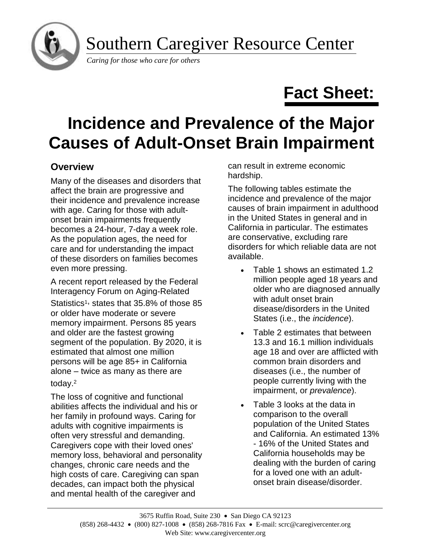

Southern Caregiver Resource Center

*Caring for those who care for others*

# **Fact Sheet:**

# **Incidence and Prevalence of the Major Causes of Adult-Onset Brain Impairment**

# **Overview**

Many of the diseases and disorders that affect the brain are progressive and their incidence and prevalence increase with age. Caring for those with adultonset brain impairments frequently becomes a 24-hour, 7-day a week role. As the population ages, the need for care and for understanding the impact of these disorders on families becomes even more pressing.

A recent report released by the Federal Interagency Forum on Aging-Related Statistics<sup>1,</sup> states that 35.8% of those 85 or older have moderate or severe memory impairment. Persons 85 years and older are the fastest growing segment of the population. By 2020, it is estimated that almost one million persons will be age 85+ in California alone – twice as many as there are today.<sup>2</sup>

The loss of cognitive and functional abilities affects the individual and his or her family in profound ways. Caring for adults with cognitive impairments is often very stressful and demanding. Caregivers cope with their loved ones' memory loss, behavioral and personality changes, chronic care needs and the high costs of care. Caregiving can span decades, can impact both the physical and mental health of the caregiver and

can result in extreme economic hardship.

The following tables estimate the incidence and prevalence of the major causes of brain impairment in adulthood in the United States in general and in California in particular. The estimates are conservative, excluding rare disorders for which reliable data are not available.

- Table 1 shows an estimated 1.2 million people aged 18 years and older who are diagnosed annually with adult onset brain disease/disorders in the United States (i.e., the *incidence*).
- Table 2 estimates that between 13.3 and 16.1 million individuals age 18 and over are afflicted with common brain disorders and diseases (i.e., the number of people currently living with the impairment, or *prevalence*).
- Table 3 looks at the data in comparison to the overall population of the United States and California. An estimated 13% - 16% of the United States and California households may be dealing with the burden of caring for a loved one with an adultonset brain disease/disorder.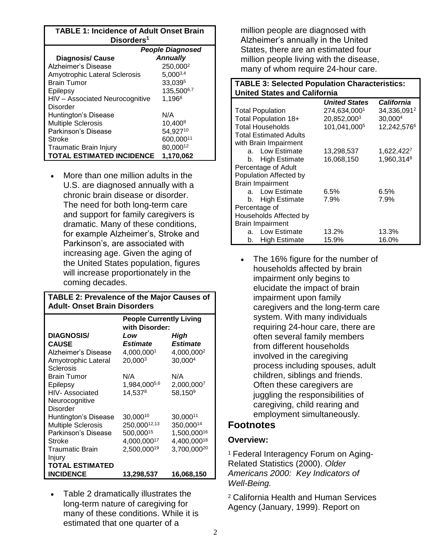#### **TABLE 1: Incidence of Adult Onset Brain Disorders<sup>1</sup>**

|                                  | <b>People Diagnosed</b> |  |
|----------------------------------|-------------------------|--|
| <b>Diagnosis/ Cause</b>          | <b>Annually</b>         |  |
| Alzheimer's Disease              | 250,0002                |  |
| Amyotrophic Lateral Sclerosis    | 5,0003,4                |  |
| <b>Brain Tumor</b>               | 33,0395                 |  |
| Epilepsy                         | 135,5006,7              |  |
| HIV - Associated Neurocognitive  | 1,1968                  |  |
| Disorder                         |                         |  |
| Huntington's Disease             | N/A                     |  |
| <b>Multiple Sclerosis</b>        | $10,400^9$              |  |
| Parkinson's Disease              | 54,92710                |  |
| Stroke                           | 600,00011               |  |
| Traumatic Brain Injury           | 80,00012                |  |
| <b>TOTAL ESTIMATED INCIDENCE</b> | 1.170.062               |  |

• More than one million adults in the U.S. are diagnosed annually with a chronic brain disease or disorder. The need for both long-term care and support for family caregivers is dramatic. Many of these conditions, for example Alzheimer's, Stroke and Parkinson's, are associated with increasing age. Given the aging of the United States population, figures will increase proportionately in the coming decades.

### **TABLE 2: Prevalence of the Major Causes of Adult- Onset Brain Disorders**

|                           | <b>People Currently Living</b><br>with Disorder: |                         |  |
|---------------------------|--------------------------------------------------|-------------------------|--|
| <b>DIAGNOSIS/</b>         | Low                                              | High                    |  |
| <b>CAUSE</b>              | Estimate                                         | Estimate                |  |
| Alzheimer's Disease       | 4,000,0001                                       | 4,000,000 <sup>2</sup>  |  |
| Amyotrophic Lateral       | 20,000 <sup>3</sup>                              | 30,000 <sup>4</sup>     |  |
| Sclerosis                 |                                                  |                         |  |
| <b>Brain Tumor</b>        | N/A                                              | N/A                     |  |
| Epilepsy                  | 1,984,0005,6                                     | 2,000,0007              |  |
| HIV- Associated           | $14,537^8$                                       | 58,150 <sup>9</sup>     |  |
| Neurocognitive            |                                                  |                         |  |
| Disorder                  |                                                  |                         |  |
| Huntington's Disease      | 30,00010                                         | 30,00011                |  |
| <b>Multiple Sclerosis</b> | 250,00012,13                                     | 350,00014               |  |
| Parkinson's Disease       | 500,00015                                        | 1,500,00016             |  |
| Stroke                    | 4,000,00017                                      | 4,400,00018             |  |
| <b>Traumatic Brain</b>    | 2,500,00019                                      | 3,700,000 <sup>20</sup> |  |
| Injury                    |                                                  |                         |  |
| <b>TOTAL ESTIMATED</b>    |                                                  |                         |  |
| <b>INCIDENCE</b>          | 13,298,537                                       | 16,068,150              |  |

• Table 2 dramatically illustrates the long-term nature of caregiving for many of these conditions. While it is estimated that one quarter of a

million people are diagnosed with Alzheimer's annually in the United States, there are an estimated four million people living with the disease, many of whom require 24-hour care.

#### **TABLE 3: Selected Population Characteristics: United States and California**

|                               |                         | <b>United States</b> | <b>California</b> |
|-------------------------------|-------------------------|----------------------|-------------------|
|                               | <b>Total Population</b> | 274,634,0001         | 34,336,0912       |
|                               | Total Population 18+    | 20,852,0003          | 30,0004           |
|                               | <b>Total Households</b> | 101,041,0005         | 12,242,5766       |
| <b>Total Estimated Adults</b> |                         |                      |                   |
|                               | with Brain Impairment   |                      |                   |
|                               | a. Low Estimate         | 13,298,537           | 1,622,4227        |
| b.                            | <b>High Estimate</b>    | 16,068,150           | 1,960,3148        |
| Percentage of Adult           |                         |                      |                   |
| Population Affected by        |                         |                      |                   |
| <b>Brain Impairment</b>       |                         |                      |                   |
|                               | a. Low Estimate         | 6.5%                 | 6.5%              |
|                               | b. High Estimate        | 7.9%                 | 7.9%              |
| Percentage of                 |                         |                      |                   |
| Households Affected by        |                         |                      |                   |
| <b>Brain Impairment</b>       |                         |                      |                   |
| а.                            | Low Estimate            | 13.2%                | 13.3%             |
| b.                            | <b>High Estimate</b>    | 15.9%                | 16.0%             |

The 16% figure for the number of households affected by brain impairment only begins to elucidate the impact of brain impairment upon family caregivers and the long-term care system. With many individuals requiring 24-hour care, there are often several family members from different households involved in the caregiving process including spouses, adult children, siblings and friends. Often these caregivers are juggling the responsibilities of caregiving, child rearing and employment simultaneously.

## **Footnotes**

### **Overview:**

<sup>1</sup> Federal Interagency Forum on Aging-Related Statistics (2000). *Older Americans 2000: Key Indicators of Well-Being.*

<sup>2</sup> California Health and Human Services Agency (January, 1999). Report on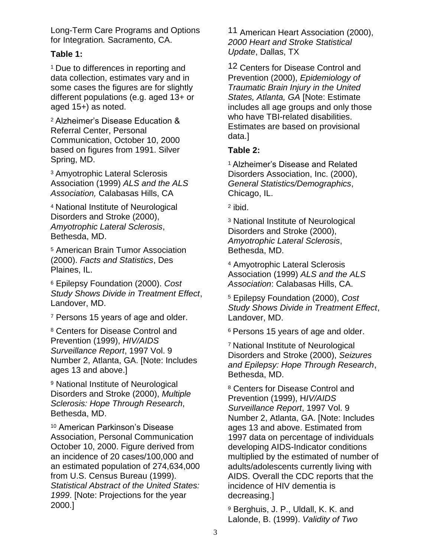Long-Term Care Programs and Options for Integration*.* Sacramento, CA.

#### **Table 1:**

<sup>1</sup> Due to differences in reporting and data collection, estimates vary and in some cases the figures are for slightly different populations (e.g. aged 13+ or aged 15+) as noted.

<sup>2</sup> Alzheimer's Disease Education & Referral Center, Personal Communication, October 10, 2000 based on figures from 1991. Silver Spring, MD.

<sup>3</sup> Amyotrophic Lateral Sclerosis Association (1999) *ALS and the ALS Association,* Calabasas Hills, CA

<sup>4</sup> National Institute of Neurological Disorders and Stroke (2000), *Amyotrophic Lateral Sclerosis*, Bethesda, MD.

<sup>5</sup> American Brain Tumor Association (2000). *Facts and Statistics*, Des Plaines, IL.

<sup>6</sup> Epilepsy Foundation (2000). *Cost Study Shows Divide in Treatment Effect*, Landover, MD.

<sup>7</sup> Persons 15 years of age and older.

<sup>8</sup> Centers for Disease Control and Prevention (1999), *HIV/AIDS Surveillance Report*, 1997 Vol. 9 Number 2, Atlanta, GA. [Note: Includes ages 13 and above.]

<sup>9</sup> National Institute of Neurological Disorders and Stroke (2000), *Multiple Sclerosis: Hope Through Research*, Bethesda, MD.

<sup>10</sup> American Parkinson's Disease Association, Personal Communication October 10, 2000. Figure derived from an incidence of 20 cases/100,000 and an estimated population of 274,634,000 from U.S. Census Bureau (1999). *Statistical Abstract of the United States: 1999*. [Note: Projections for the year 2000.]

11 American Heart Association (2000), *2000 Heart and Stroke Statistical Update*, Dallas, TX

12 Centers for Disease Control and Prevention (2000), *Epidemiology of Traumatic Brain Injury in the United States, Atlanta, GA* [Note: Estimate includes all age groups and only those who have TBI-related disabilities. Estimates are based on provisional data.]

### **Table 2:**

<sup>1</sup> Alzheimer's Disease and Related Disorders Association, Inc. (2000), *General Statistics/Demographics*, Chicago, IL.

<sup>2</sup> ibid.

<sup>3</sup> National Institute of Neurological Disorders and Stroke (2000), *Amyotrophic Lateral Sclerosis*, Bethesda, MD.

<sup>4</sup> Amyotrophic Lateral Sclerosis Association (1999) *ALS and the ALS Association*: Calabasas Hills, CA.

<sup>5</sup> Epilepsy Foundation (2000), *Cost Study Shows Divide in Treatment Effect*, Landover, MD.

<sup>6</sup> Persons 15 years of age and older.

<sup>7</sup> National Institute of Neurological Disorders and Stroke (2000), *Seizures and Epilepsy: Hope Through Research*, Bethesda, MD.

<sup>8</sup> Centers for Disease Control and Prevention (1999), H*IV/AIDS Surveillance Report*, 1997 Vol. 9 Number 2, Atlanta, GA. [Note: Includes ages 13 and above. Estimated from 1997 data on percentage of individuals developing AIDS-Indicator conditions multiplied by the estimated of number of adults/adolescents currently living with AIDS. Overall the CDC reports that the incidence of HIV dementia is decreasing.]

<sup>9</sup> Berghuis, J. P., Uldall, K. K. and Lalonde, B. (1999). *Validity of Two*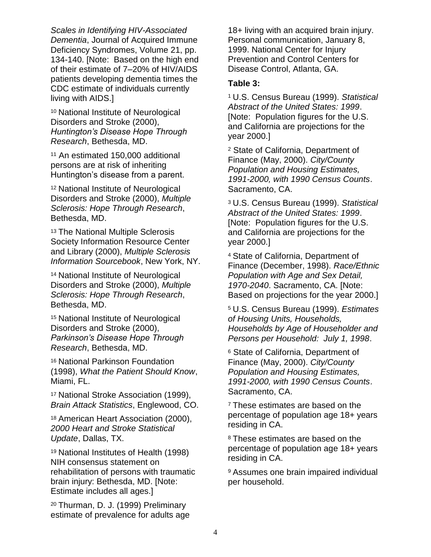*Scales in Identifying HIV-Associated Dementia*, Journal of Acquired Immune Deficiency Syndromes, Volume 21, pp. 134-140. [Note: Based on the high end of their estimate of 7–20% of HIV/AIDS patients developing dementia times the CDC estimate of individuals currently living with AIDS.]

<sup>10</sup> National Institute of Neurological Disorders and Stroke (2000), *Huntington's Disease Hope Through Research*, Bethesda, MD.

<sup>11</sup> An estimated 150,000 additional persons are at risk of inheriting Huntington's disease from a parent.

<sup>12</sup> National Institute of Neurological Disorders and Stroke (2000), *Multiple Sclerosis: Hope Through Research*, Bethesda, MD.

<sup>13</sup> The National Multiple Sclerosis Society Information Resource Center and Library (2000), *Multiple Sclerosis Information Sourcebook*, New York, NY.

<sup>14</sup> National Institute of Neurological Disorders and Stroke (2000), *Multiple Sclerosis: Hope Through Research*, Bethesda, MD.

<sup>15</sup> National Institute of Neurological Disorders and Stroke (2000), *Parkinson's Disease Hope Through Research*, Bethesda, MD.

<sup>16</sup> National Parkinson Foundation (1998), *What the Patient Should Know*, Miami, FL.

<sup>17</sup> National Stroke Association (1999), *Brain Attack Statistics*, Englewood, CO.

<sup>18</sup> American Heart Association (2000), *2000 Heart and Stroke Statistical Update*, Dallas, TX.

<sup>19</sup> National Institutes of Health (1998) NIH consensus statement on rehabilitation of persons with traumatic brain injury: Bethesda, MD. [Note: Estimate includes all ages.]

<sup>20</sup> Thurman, D. J. (1999) Preliminary estimate of prevalence for adults age 18+ living with an acquired brain injury. Personal communication, January 8, 1999. National Center for Injury Prevention and Control Centers for Disease Control, Atlanta, GA.

### **Table 3:**

<sup>1</sup> U.S. Census Bureau (1999). *Statistical Abstract of the United States: 1999*. [Note: Population figures for the U.S. and California are projections for the year 2000.]

<sup>2</sup> State of California, Department of Finance (May, 2000). *City/County Population and Housing Estimates, 1991-2000, with 1990 Census Counts*. Sacramento, CA.

<sup>3</sup> U.S. Census Bureau (1999). *Statistical Abstract of the United States: 1999*. [Note: Population figures for the U.S. and California are projections for the year 2000.]

<sup>4</sup> State of California, Department of Finance (December, 1998). *Race/Ethnic Population with Age and Sex Detail, 1970-2040*. Sacramento, CA. [Note: Based on projections for the year 2000.]

<sup>5</sup> U.S. Census Bureau (1999). *Estimates of Housing Units, Households, Households by Age of Householder and Persons per Household: July 1, 1998*.

<sup>6</sup> State of California, Department of Finance (May, 2000). *City/County Population and Housing Estimates, 1991-2000, with 1990 Census Counts*. Sacramento, CA.

<sup>7</sup> These estimates are based on the percentage of population age 18+ years residing in CA.

<sup>8</sup> These estimates are based on the percentage of population age 18+ years residing in CA.

<sup>9</sup> Assumes one brain impaired individual per household.